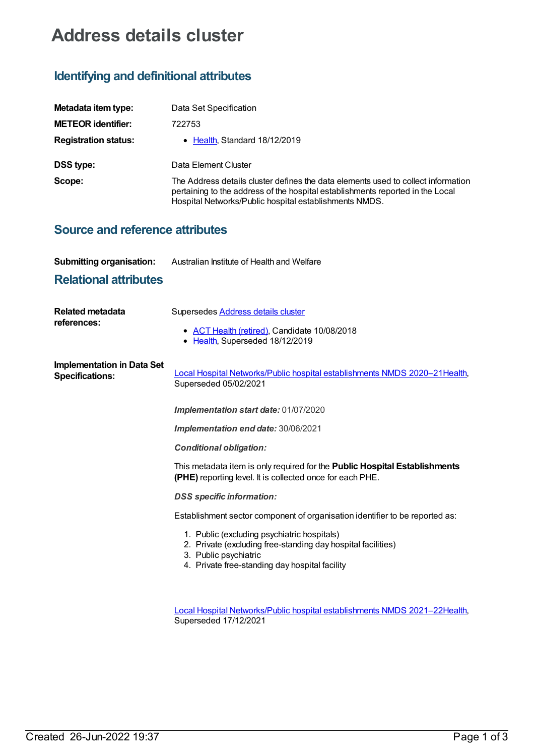# **Address details cluster**

## **Identifying and definitional attributes**

| Metadata item type:         | Data Set Specification                                                                                                                                                                                                        |
|-----------------------------|-------------------------------------------------------------------------------------------------------------------------------------------------------------------------------------------------------------------------------|
| <b>METEOR identifier:</b>   | 722753                                                                                                                                                                                                                        |
| <b>Registration status:</b> | • Health Standard 18/12/2019                                                                                                                                                                                                  |
| <b>DSS type:</b>            | Data Element Cluster                                                                                                                                                                                                          |
| Scope:                      | The Address details cluster defines the data elements used to collect information<br>pertaining to the address of the hospital establishments reported in the Local<br>Hospital Networks/Public hospital establishments NMDS. |

### **Source and reference attributes**

| <b>Submitting organisation:</b> | Australian Institute of Health and Welfare |
|---------------------------------|--------------------------------------------|
|                                 |                                            |

### **Relational attributes**

| <b>Related metadata</b><br>references:                      | Supersedes <b>Address details cluster</b><br>• ACT Health (retired), Candidate 10/08/2018<br>• Health, Superseded 18/12/2019                                                           |
|-------------------------------------------------------------|----------------------------------------------------------------------------------------------------------------------------------------------------------------------------------------|
| <b>Implementation in Data Set</b><br><b>Specifications:</b> | Local Hospital Networks/Public hospital establishments NMDS 2020-21Health,<br>Superseded 05/02/2021                                                                                    |
|                                                             | Implementation start date: 01/07/2020                                                                                                                                                  |
|                                                             | Implementation end date: 30/06/2021                                                                                                                                                    |
|                                                             | <b>Conditional obligation:</b>                                                                                                                                                         |
|                                                             | This metadata item is only required for the Public Hospital Establishments<br>(PHE) reporting level. It is collected once for each PHE.                                                |
|                                                             | <b>DSS</b> specific information:                                                                                                                                                       |
|                                                             | Establishment sector component of organisation identifier to be reported as:                                                                                                           |
|                                                             | 1. Public (excluding psychiatric hospitals)<br>2. Private (excluding free-standing day hospital facilities)<br>3. Public psychiatric<br>4. Private free-standing day hospital facility |
|                                                             | Local Hospital Networks/Public hospital establishments NMDS 2021-22Health,<br>Superseded 17/12/2021                                                                                    |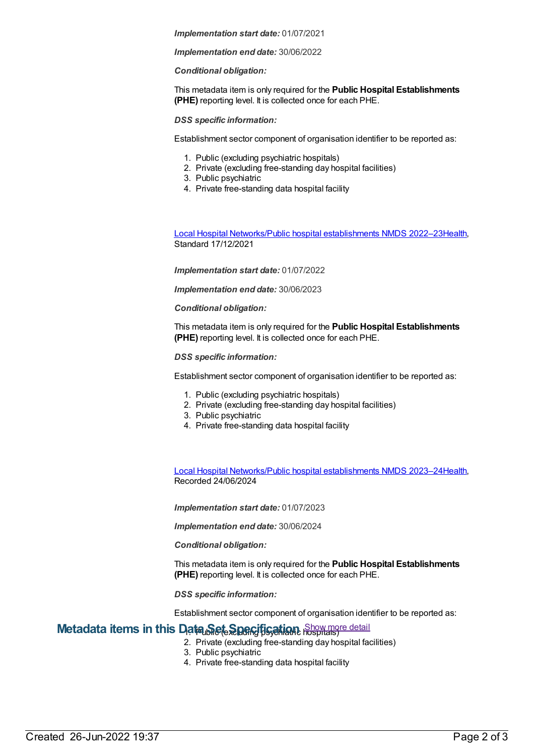#### *Implementation start date:* 01/07/2021

#### *Implementation end date:* 30/06/2022

#### *Conditional obligation:*

This metadata item is only required for the **Public Hospital Establishments (PHE)** reporting level. It is collected once for each PHE.

#### *DSS specific information:*

Establishment sector component of organisation identifier to be reported as:

- 1. Public (excluding psychiatric hospitals)
- 2. Private (excluding free-standing day hospital facilities)
- 3. Public psychiatric
- 4. Private free-standing data hospital facility

Local Hospital [Networks/Public](https://meteor.aihw.gov.au/content/742044) hospital establishments NMDS 2022–23[Health](https://meteor.aihw.gov.au/RegistrationAuthority/12), Standard 17/12/2021

*Implementation start date:* 01/07/2022

*Implementation end date:* 30/06/2023

#### *Conditional obligation:*

This metadata item is only required for the **Public Hospital Establishments (PHE)** reporting level. It is collected once for each PHE.

#### *DSS specific information:*

Establishment sector component of organisation identifier to be reported as:

- 1. Public (excluding psychiatric hospitals)
- 2. Private (excluding free-standing day hospital facilities)
- 3. Public psychiatric
- 4. Private free-standing data hospital facility

Local Hospital [Networks/Public](https://meteor.aihw.gov.au/content/756101) hospital establishments NMDS 2023–24[Health](https://meteor.aihw.gov.au/RegistrationAuthority/12), Recorded 24/06/2024

*Implementation start date:* 01/07/2023

*Implementation end date:* 30/06/2024

*Conditional obligation:*

This metadata item is only required for the **Public Hospital Establishments (PHE)** reporting level. It is collected once for each PHE.

*DSS specific information:*

Establishment sector component of organisation identifier to be reported as:

### **Metadata items in this Data Set Specification** Show more detail

- 2. Private (excluding free-standing day hospital facilities)
- 3. Public psychiatric
- 4. Private free-standing data hospital facility